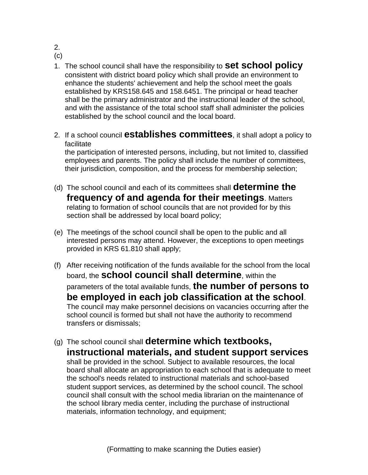2.

(c)

- 1. The school council shall have the responsibility to **set school policy** consistent with district board policy which shall provide an environment to enhance the students' achievement and help the school meet the goals established by KRS158.645 and 158.6451. The principal or head teacher shall be the primary administrator and the instructional leader of the school, and with the assistance of the total school staff shall administer the policies established by the school council and the local board.
- 2. If a school council **establishes committees**, it shall adopt a policy to facilitate

the participation of interested persons, including, but not limited to, classified employees and parents. The policy shall include the number of committees, their jurisdiction, composition, and the process for membership selection;

- (d) The school council and each of its committees shall **determine the frequency of and agenda for their meetings**. Matters relating to formation of school councils that are not provided for by this section shall be addressed by local board policy;
- (e) The meetings of the school council shall be open to the public and all interested persons may attend. However, the exceptions to open meetings provided in KRS 61.810 shall apply;
- (f) After receiving notification of the funds available for the school from the local board, the **school council shall determine**, within the parameters of the total available funds, **the number of persons to be employed in each job classification at the school**. The council may make personnel decisions on vacancies occurring after the school council is formed but shall not have the authority to recommend transfers or dismissals;
- (g) The school council shall **determine which textbooks, instructional materials, and student support services** shall be provided in the school. Subject to available resources, the local board shall allocate an appropriation to each school that is adequate to meet the school's needs related to instructional materials and school-based student support services, as determined by the school council. The school council shall consult with the school media librarian on the maintenance of the school library media center, including the purchase of instructional materials, information technology, and equipment;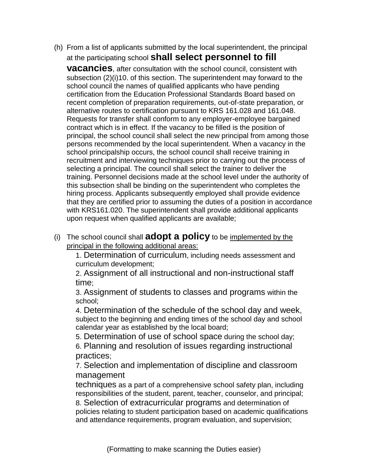(h) From a list of applicants submitted by the local superintendent, the principal at the participating school **shall select personnel to fill** 

**vacancies**, after consultation with the school council, consistent with subsection (2)(i)10. of this section. The superintendent may forward to the school council the names of qualified applicants who have pending certification from the Education Professional Standards Board based on recent completion of preparation requirements, out-of-state preparation, or alternative routes to certification pursuant to KRS 161.028 and 161.048. Requests for transfer shall conform to any employer-employee bargained contract which is in effect. If the vacancy to be filled is the position of principal, the school council shall select the new principal from among those persons recommended by the local superintendent. When a vacancy in the school principalship occurs, the school council shall receive training in recruitment and interviewing techniques prior to carrying out the process of selecting a principal. The council shall select the trainer to deliver the training. Personnel decisions made at the school level under the authority of this subsection shall be binding on the superintendent who completes the hiring process. Applicants subsequently employed shall provide evidence that they are certified prior to assuming the duties of a position in accordance with KRS161.020. The superintendent shall provide additional applicants upon request when qualified applicants are available;

(i) The school council shall **adopt a policy** to be implemented by the principal in the following additional areas:

1. Determination of curriculum, including needs assessment and curriculum development;

2. Assignment of all instructional and non-instructional staff time;

3. Assignment of students to classes and programs within the school;

4. Determination of the schedule of the school day and week, subject to the beginning and ending times of the school day and school calendar year as established by the local board;

5. Determination of use of school space during the school day;

6. Planning and resolution of issues regarding instructional practices;

7. Selection and implementation of discipline and classroom management

techniques as a part of a comprehensive school safety plan, including responsibilities of the student, parent, teacher, counselor, and principal; 8. Selection of extracurricular programs and determination of

policies relating to student participation based on academic qualifications and attendance requirements, program evaluation, and supervision;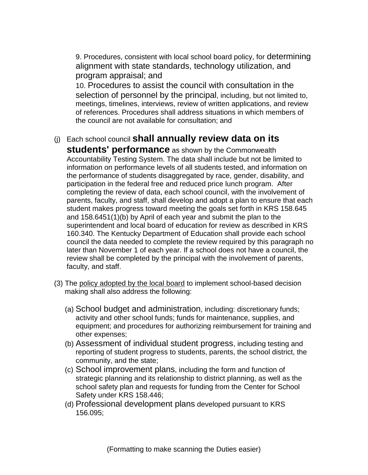9. Procedures, consistent with local school board policy, for determining alignment with state standards, technology utilization, and program appraisal; and

10. Procedures to assist the council with consultation in the selection of personnel by the principal, including, but not limited to, meetings, timelines, interviews, review of written applications, and review of references. Procedures shall address situations in which members of the council are not available for consultation; and

## (j) Each school council **shall annually review data on its**

**students' performance** as shown by the Commonwealth Accountability Testing System. The data shall include but not be limited to information on performance levels of all students tested, and information on the performance of students disaggregated by race, gender, disability, and participation in the federal free and reduced price lunch program. After completing the review of data, each school council, with the involvement of parents, faculty, and staff, shall develop and adopt a plan to ensure that each student makes progress toward meeting the goals set forth in KRS 158.645 and 158.6451(1)(b) by April of each year and submit the plan to the superintendent and local board of education for review as described in KRS 160.340. The Kentucky Department of Education shall provide each school council the data needed to complete the review required by this paragraph no later than November 1 of each year. If a school does not have a council, the review shall be completed by the principal with the involvement of parents, faculty, and staff.

- (3) The policy adopted by the local board to implement school-based decision making shall also address the following:
	- (a) School budget and administration, including: discretionary funds; activity and other school funds; funds for maintenance, supplies, and equipment; and procedures for authorizing reimbursement for training and other expenses;
	- (b) Assessment of individual student progress, including testing and reporting of student progress to students, parents, the school district, the community, and the state;
	- (c) School improvement plans, including the form and function of strategic planning and its relationship to district planning, as well as the school safety plan and requests for funding from the Center for School Safety under KRS 158.446;
	- (d) Professional development plans developed pursuant to KRS 156.095;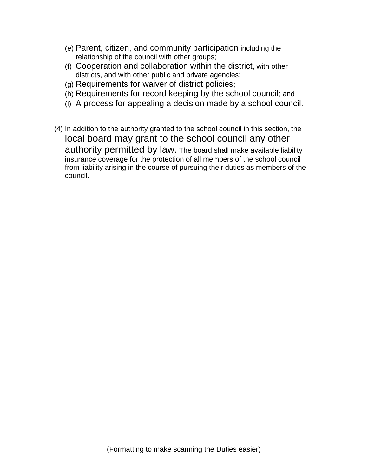- (e) Parent, citizen, and community participation including the relationship of the council with other groups;
- (f) Cooperation and collaboration within the district, with other districts, and with other public and private agencies;
- (g) Requirements for waiver of district policies;
- (h) Requirements for record keeping by the school council; and
- (i) A process for appealing a decision made by a school council.
- (4) In addition to the authority granted to the school council in this section, the local board may grant to the school council any other authority permitted by law. The board shall make available liability insurance coverage for the protection of all members of the school council from liability arising in the course of pursuing their duties as members of the council.